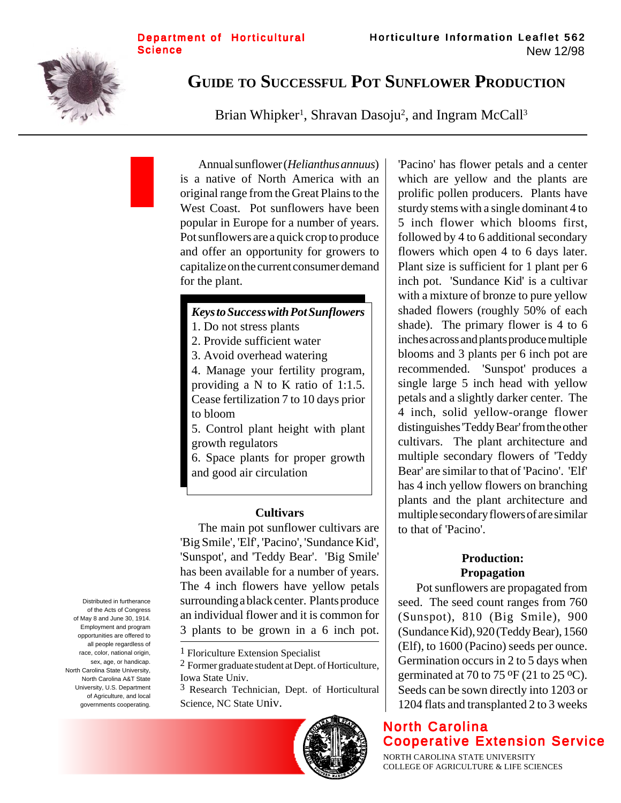

# **GUIDE TO SUCCESSFUL POT SUNFLOWER PRODUCTION**

Brian Whipker<sup>1</sup>, Shravan Dasoju<sup>2</sup>, and Ingram McCall<sup>3</sup>

Annual sunflower (*Helianthus annuus*) is a native of North America with an original range from the Great Plains to the West Coast. Pot sunflowers have been popular in Europe for a number of years. Pot sunflowers are a quick crop to produce and offer an opportunity for growers to capitalize on the current consumer demand for the plant.

### *Keys to Success with Pot Sunflowers*

- 1. Do not stress plants
- 2. Provide sufficient water
- 3. Avoid overhead watering

4. Manage your fertility program, providing a N to K ratio of 1:1.5. Cease fertilization 7 to 10 days prior to bloom

5. Control plant height with plant growth regulators

6. Space plants for proper growth and good air circulation

#### **Cultivars**

The main pot sunflower cultivars are 'Big Smile', 'Elf', 'Pacino', 'Sundance Kid', 'Sunspot', and 'Teddy Bear'. 'Big Smile' has been available for a number of years. The 4 inch flowers have yellow petals surrounding a black center. Plants produce an individual flower and it is common for 3 plants to be grown in a 6 inch pot.

3 Research Technician, Dept. of Horticultural Science, NC State Univ.



'Pacino' has flower petals and a center which are yellow and the plants are prolific pollen producers. Plants have sturdy stems with a single dominant 4 to 5 inch flower which blooms first, followed by 4 to 6 additional secondary flowers which open 4 to 6 days later. Plant size is sufficient for 1 plant per 6 inch pot. 'Sundance Kid' is a cultivar with a mixture of bronze to pure yellow shaded flowers (roughly 50% of each shade). The primary flower is 4 to 6 inches across and plants produce multiple blooms and 3 plants per 6 inch pot are recommended. 'Sunspot' produces a single large 5 inch head with yellow petals and a slightly darker center. The 4 inch, solid yellow-orange flower distinguishes 'Teddy Bear' from the other cultivars. The plant architecture and multiple secondary flowers of 'Teddy Bear' are similar to that of 'Pacino'. 'Elf' has 4 inch yellow flowers on branching plants and the plant architecture and multiple secondary flowers of are similar to that of 'Pacino'.

# **Production: Propagation**

Pot sunflowers are propagated from seed. The seed count ranges from 760 (Sunspot), 810 (Big Smile), 900 (Sundance Kid), 920 (Teddy Bear), 1560 (Elf), to 1600 (Pacino) seeds per ounce. Germination occurs in 2 to 5 days when germinated at 70 to 75  $\mathrm{^{\circ}F}$  (21 to 25  $\mathrm{^{\circ}C}$ ). Seeds can be sown directly into 1203 or 1204 flats and transplanted 2 to 3 weeks

# North Carolina Cooperative Extension Service

NORTH CAROLINA STATE UNIVERSITY COLLEGE OF AGRICULTURE & LIFE SCIENCES

Distributed in furtherance of the Acts of Congress of May 8 and June 30, 1914. Employment and program opportunities are offered to all people regardless of race, color, national origin, sex, age, or handicap. North Carolina State University, North Carolina A&T State University, U.S. Department of Agriculture, and local governments cooperating.

<sup>1</sup> Floriculture Extension Specialist

<sup>2</sup> Former graduate student at Dept. of Horticulture, Iowa State Univ.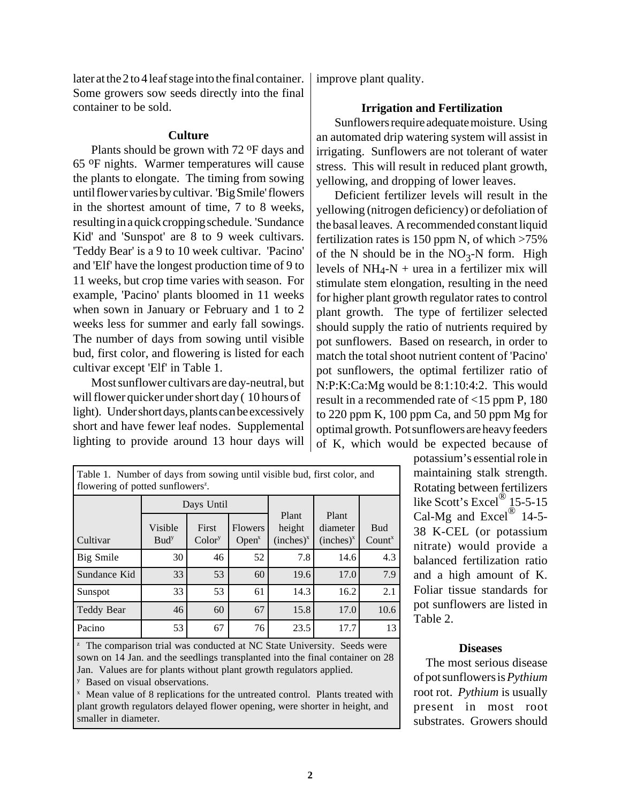later at the 2 to 4 leaf stage into the final container. Some growers sow seeds directly into the final container to be sold.

#### **Culture**

Plants should be grown with 72 oF days and 65 oF nights. Warmer temperatures will cause the plants to elongate. The timing from sowing until flower varies by cultivar. 'Big Smile' flowers in the shortest amount of time, 7 to 8 weeks, resulting in a quick cropping schedule. 'Sundance Kid' and 'Sunspot' are 8 to 9 week cultivars. 'Teddy Bear' is a 9 to 10 week cultivar. 'Pacino' and 'Elf' have the longest production time of 9 to 11 weeks, but crop time varies with season. For example, 'Pacino' plants bloomed in 11 weeks when sown in January or February and 1 to 2 weeks less for summer and early fall sowings. The number of days from sowing until visible bud, first color, and flowering is listed for each cultivar except 'Elf' in Table 1.

Most sunflower cultivars are day-neutral, but will flower quicker under short day ( 10 hours of light). Under short days, plants can be excessively short and have fewer leaf nodes. Supplemental lighting to provide around 13 hour days will

Table 1. Number of days from sowing until visible bud, first color, and flowering of potted sunflowers<sup>2</sup>. **Cultivar** Days Until Plant height  $(inches)<sup>x</sup>$ Plant diameter  $(inches)<sup>x</sup>$ Bud Count<sup>x</sup> Visible Budy First Colory Flowers  $Open<sup>x</sup>$ Big Smile  $\begin{array}{|c|c|c|c|c|c|c|c|} \hline 30 & 46 & 52 & 7.8 & 14.6 & 4.3 \ \hline \end{array}$ Sundance Kid 33 53 60 19.6 17.0 7.9 Sunspot | 33 | 53 | 61 | 14.3 | 16.2 | 2.1 Teddy Bear | 46 60 67 15.8 17.0 10.6

 $\alpha$  The comparison trial was conducted at NC State University. Seeds were sown on 14 Jan. and the seedlings transplanted into the final container on 28 Jan. Values are for plants without plant growth regulators applied. y Based on visual observations.

Pacino | 53 67 76 23.5 17.7 13

x Mean value of 8 replications for the untreated control. Plants treated with plant growth regulators delayed flower opening, were shorter in height, and

smaller in diameter.

improve plant quality.

# **Irrigation and Fertilization**

Sunflowers require adequate moisture. Using an automated drip watering system will assist in irrigating. Sunflowers are not tolerant of water stress. This will result in reduced plant growth, yellowing, and dropping of lower leaves.

Deficient fertilizer levels will result in the yellowing (nitrogen deficiency) or defoliation of the basal leaves. A recommended constant liquid fertilization rates is 150 ppm N, of which  $>75\%$ of the N should be in the  $NO_3-N$  form. High levels of  $NH_4-N +$  urea in a fertilizer mix will stimulate stem elongation, resulting in the need for higher plant growth regulator rates to control plant growth. The type of fertilizer selected should supply the ratio of nutrients required by pot sunflowers. Based on research, in order to match the total shoot nutrient content of 'Pacino' pot sunflowers, the optimal fertilizer ratio of N:P:K:Ca:Mg would be 8:1:10:4:2. This would result in a recommended rate of <15 ppm P, 180 to 220 ppm K, 100 ppm Ca, and 50 ppm Mg for optimal growth. Pot sunflowers are heavy feeders of K, which would be expected because of

> potassium's essential role in maintaining stalk strength. Rotating between fertilizers like Scott's Excel<sup>®</sup> 15-5-15 Cal-Mg and Excel<sup>®</sup> 14-5-38 K-CEL (or potassium nitrate) would provide a balanced fertilization ratio and a high amount of K. Foliar tissue standards for pot sunflowers are listed in Table 2.

#### **Diseases**

The most serious disease of pot sunflowers is *Pythium* root rot. *Pythium* is usually present in most root substrates. Growers should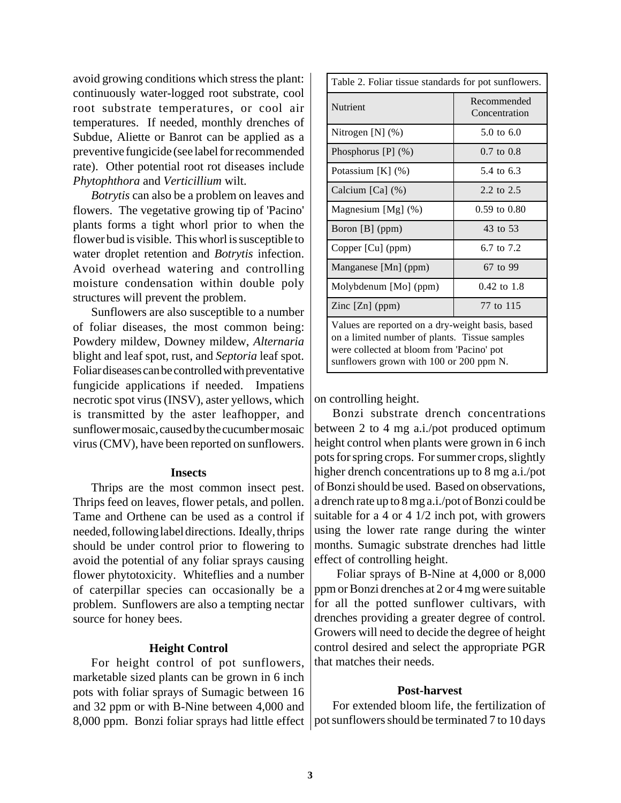avoid growing conditions which stress the plant: continuously water-logged root substrate, cool root substrate temperatures, or cool air temperatures. If needed, monthly drenches of Subdue, Aliette or Banrot can be applied as a preventive fungicide (see label for recommended rate). Other potential root rot diseases include *Phytophthora* and *Verticillium* wilt.

*Botrytis* can also be a problem on leaves and flowers. The vegetative growing tip of 'Pacino' plants forms a tight whorl prior to when the flower bud is visible. This whorl is susceptible to water droplet retention and *Botrytis* infection. Avoid overhead watering and controlling moisture condensation within double poly structures will prevent the problem.

Sunflowers are also susceptible to a number of foliar diseases, the most common being: Powdery mildew, Downey mildew, *Alternaria* blight and leaf spot, rust, and *Septoria* leaf spot. Foliar diseases can be controlled with preventative fungicide applications if needed. Impatiens necrotic spot virus (INSV), aster yellows, which is transmitted by the aster leafhopper, and sunflower mosaic, caused by the cucumber mosaic virus (CMV), have been reported on sunflowers.

#### **Insects**

Thrips are the most common insect pest. Thrips feed on leaves, flower petals, and pollen. Tame and Orthene can be used as a control if needed, following label directions. Ideally, thrips should be under control prior to flowering to avoid the potential of any foliar sprays causing flower phytotoxicity. Whiteflies and a number of caterpillar species can occasionally be a problem. Sunflowers are also a tempting nectar source for honey bees.

# **Height Control**

For height control of pot sunflowers, marketable sized plants can be grown in 6 inch pots with foliar sprays of Sumagic between 16 and 32 ppm or with B-Nine between 4,000 and 8,000 ppm. Bonzi foliar sprays had little effect | pot sunflowers should be terminated 7 to 10 days

| Table 2. Foliar tissue standards for pot sunflowers.                                                                                                                                      |                              |
|-------------------------------------------------------------------------------------------------------------------------------------------------------------------------------------------|------------------------------|
| Nutrient                                                                                                                                                                                  | Recommended<br>Concentration |
| Nitrogen [N] (%)                                                                                                                                                                          | $5.0 \text{ to } 6.0$        |
| Phosphorus $[P]$ $(\%)$                                                                                                                                                                   | $0.7 \text{ to } 0.8$        |
| Potassium [K] (%)                                                                                                                                                                         | 5.4 to 6.3                   |
| Calcium $[Ca]$ $(\%)$                                                                                                                                                                     | 2.2 to 2.5                   |
| Magnesium $[Mg]$ $(\%)$                                                                                                                                                                   | 0.59 to 0.80                 |
| Boron [B] (ppm)                                                                                                                                                                           | 43 to 53                     |
| Copper [Cu] (ppm)                                                                                                                                                                         | 6.7 to 7.2                   |
| Manganese [Mn] (ppm)                                                                                                                                                                      | 67 to 99                     |
| Molybdenum [Mo] (ppm)                                                                                                                                                                     | $0.42 \text{ to } 1.8$       |
| Zinc $[Zn]$ (ppm)                                                                                                                                                                         | 77 to 115                    |
| Values are reported on a dry-weight basis, based<br>on a limited number of plants. Tissue samples<br>were collected at bloom from 'Pacino' pot<br>sunflowers grown with 100 or 200 ppm N. |                              |

on controlling height.

Bonzi substrate drench concentrations between 2 to 4 mg a.i./pot produced optimum height control when plants were grown in 6 inch pots for spring crops. For summer crops, slightly higher drench concentrations up to 8 mg a.i./pot of Bonzi should be used. Based on observations, a drench rate up to 8 mg a.i./pot of Bonzi could be suitable for a 4 or 4 1/2 inch pot, with growers using the lower rate range during the winter months. Sumagic substrate drenches had little effect of controlling height.

 Foliar sprays of B-Nine at 4,000 or 8,000 ppm or Bonzi drenches at 2 or 4 mg were suitable for all the potted sunflower cultivars, with drenches providing a greater degree of control. Growers will need to decide the degree of height control desired and select the appropriate PGR that matches their needs.

#### **Post-harvest**

For extended bloom life, the fertilization of